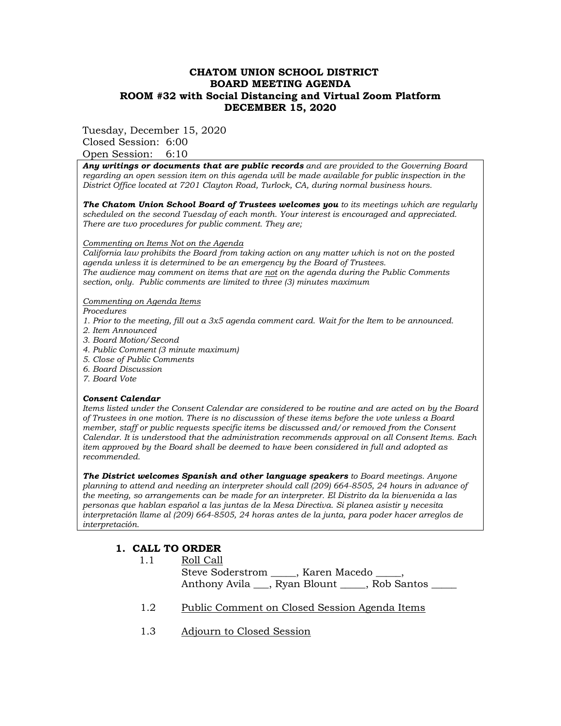## **CHATOM UNION SCHOOL DISTRICT BOARD MEETING AGENDA ROOM #32 with Social Distancing and Virtual Zoom Platform DECEMBER 15, 2020**

Tuesday, December 15, 2020

Closed Session: 6:00 Open Session: 6:10

*Any writings or documents that are public records and are provided to the Governing Board regarding an open session item on this agenda will be made available for public inspection in the District Office located at 7201 Clayton Road, Turlock, CA, during normal business hours.*

*The Chatom Union School Board of Trustees welcomes you to its meetings which are regularly scheduled on the second Tuesday of each month. Your interest is encouraged and appreciated. There are two procedures for public comment. They are;*

#### *Commenting on Items Not on the Agenda*

*California law prohibits the Board from taking action on any matter which is not on the posted agenda unless it is determined to be an emergency by the Board of Trustees. The audience may comment on items that are not on the agenda during the Public Comments section, only. Public comments are limited to three (3) minutes maximum* 

#### *Commenting on Agenda Items*

*Procedures* 

- *1. Prior to the meeting, fill out a 3x5 agenda comment card. Wait for the Item to be announced.*
- *2. Item Announced*
- *3. Board Motion/Second*
- *4. Public Comment (3 minute maximum)*
- *5. Close of Public Comments*
- *6. Board Discussion*
- *7. Board Vote*

## *Consent Calendar*

*Items listed under the Consent Calendar are considered to be routine and are acted on by the Board of Trustees in one motion. There is no discussion of these items before the vote unless a Board member, staff or public requests specific items be discussed and/or removed from the Consent Calendar. It is understood that the administration recommends approval on all Consent Items. Each item approved by the Board shall be deemed to have been considered in full and adopted as recommended.* 

*The District welcomes Spanish and other language speakers to Board meetings. Anyone planning to attend and needing an interpreter should call (209) 664-8505, 24 hours in advance of the meeting, so arrangements can be made for an interpreter. El Distrito da la bienvenida a las personas que hablan español a las juntas de la Mesa Directiva. Si planea asistir y necesita interpretación llame al (209) 664-8505, 24 horas antes de la junta, para poder hacer arreglos de interpretación.*

## **1. CALL TO ORDER**

1.1 Roll Call

- Steve Soderstrom \_\_\_\_\_, Karen Macedo \_\_\_\_\_, Anthony Avila \_\_\_, Ryan Blount \_\_\_\_, Rob Santos \_\_\_\_
- 1.2 Public Comment on Closed Session Agenda Items
- 1.3 Adjourn to Closed Session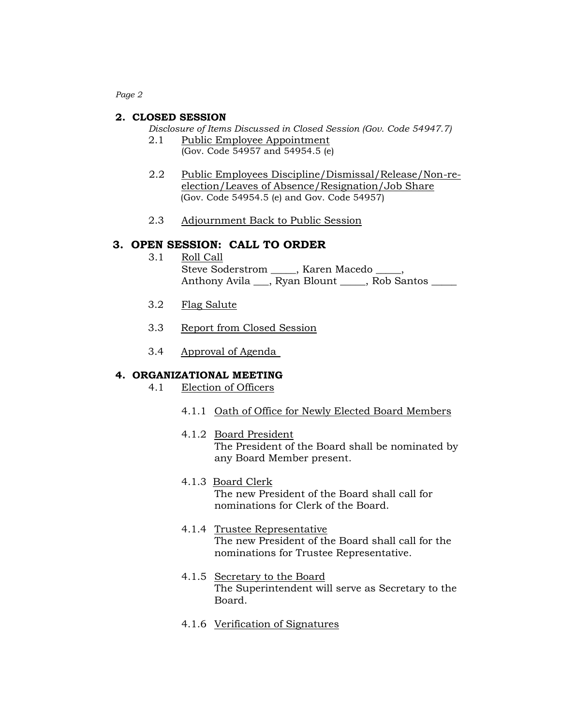*Page 2*

#### **2. CLOSED SESSION**

*Disclosure of Items Discussed in Closed Session (Gov. Code 54947.7)*

- 2.1 Public Employee Appointment (Gov. Code 54957 and 54954.5 (e)
- 2.2 Public Employees Discipline/Dismissal/Release/Non-reelection/Leaves of Absence/Resignation/Job Share (Gov. Code 54954.5 (e) and Gov. Code 54957)
- 2.3 Adjournment Back to Public Session

### **3. OPEN SESSION: CALL TO ORDER**

- 3.1 Roll Call Steve Soderstrom \_\_\_\_\_, Karen Macedo \_\_\_\_\_, Anthony Avila <sub>...</sub>, Ryan Blount ..., Rob Santos ......
- 3.2 Flag Salute
- 3.3 Report from Closed Session
- 3.4 Approval of Agenda

#### **4. ORGANIZATIONAL MEETING**

- 4.1 Election of Officers
	- 4.1.1 Oath of Office for Newly Elected Board Members
	- 4.1.2 Board President The President of the Board shall be nominated by any Board Member present.
	- 4.1.3 Board Clerk The new President of the Board shall call for nominations for Clerk of the Board.
	- 4.1.4 Trustee Representative The new President of the Board shall call for the nominations for Trustee Representative.
	- 4.1.5 Secretary to the Board The Superintendent will serve as Secretary to the Board.
	- 4.1.6 Verification of Signatures